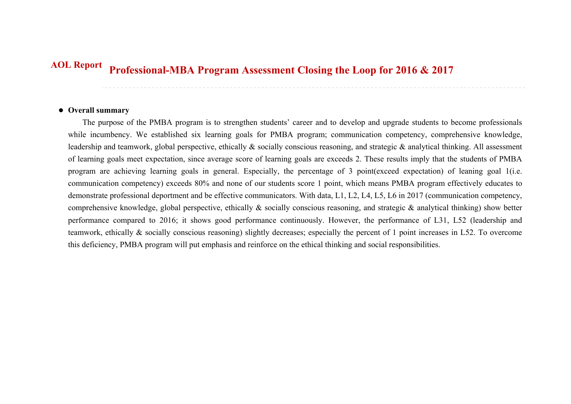## **Professional-MBA Program Assessment Closing the Loop for 2016 & 2017 AOL Report**

## **Overall summary**

The purpose of the PMBA program is to strengthen students' career and to develop and upgrade students to become professionals while incumbency. We established six learning goals for PMBA program; communication competency, comprehensive knowledge, leadership and teamwork, global perspective, ethically & socially conscious reasoning, and strategic & analytical thinking. All assessment of learning goals meet expectation, since average score of learning goals are exceeds 2. These results imply that the students of PMBA program are achieving learning goals in general. Especially, the percentage of 3 point(exceed expectation) of leaning goal 1(i.e. communication competency) exceeds 80% and none of our students score 1 point, which means PMBA program effectively educates to demonstrate professional deportment and be effective communicators. With data, L1, L2, L4, L5, L6 in 2017 (communication competency, comprehensive knowledge, global perspective, ethically & socially conscious reasoning, and strategic & analytical thinking) show better performance compared to 2016; it shows good performance continuously. However, the performance of L31, L52 (leadership and teamwork, ethically & socially conscious reasoning) slightly decreases; especially the percent of 1 point increases in L52. To overcome this deficiency, PMBA program will put emphasis and reinforce on the ethical thinking and social responsibilities.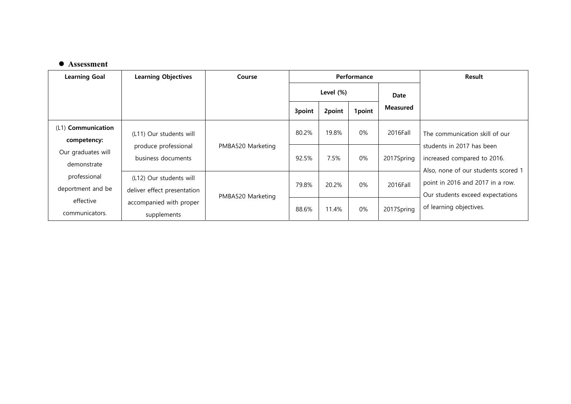## **Assessment**

| <b>Learning Goal</b>              | <b>Learning Objectives</b>                             | Course            |              |        | Performance | <b>Result</b>   |                                                                                                 |
|-----------------------------------|--------------------------------------------------------|-------------------|--------------|--------|-------------|-----------------|-------------------------------------------------------------------------------------------------|
|                                   |                                                        |                   | Level $(\%)$ |        |             | Date            |                                                                                                 |
|                                   |                                                        |                   | 3point       | 2point | 1point      | <b>Measured</b> |                                                                                                 |
| (L1) Communication<br>competency: | (L11) Our students will                                |                   | 80.2%        | 19.8%  | $0\%$       | 2016Fall        | The communication skill of our                                                                  |
| Our graduates will<br>demonstrate | produce professional<br>business documents             | PMBA520 Marketing | 92.5%        | 7.5%   | 0%          | 2017Spring      | students in 2017 has been<br>increased compared to 2016.<br>Also, none of our students scored 1 |
| professional<br>deportment and be | (L12) Our students will<br>deliver effect presentation | PMBA520 Marketing | 79.8%        | 20.2%  | $0\%$       | 2016Fall        | point in 2016 and 2017 in a row.<br>Our students exceed expectations                            |
| effective<br>communicators.       | accompanied with proper<br>supplements                 |                   | 88.6%        | 11.4%  | 0%          | 2017Spring      | of learning objectives.                                                                         |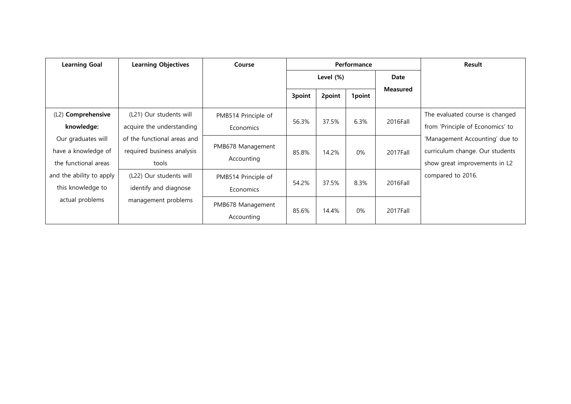| <b>Learning Goal</b>                                              | <b>Learning Objectives</b>                                         | Course                           |           |        | Performance | Result          |                                                                                                    |
|-------------------------------------------------------------------|--------------------------------------------------------------------|----------------------------------|-----------|--------|-------------|-----------------|----------------------------------------------------------------------------------------------------|
|                                                                   |                                                                    |                                  | Level (%) |        |             | Date            |                                                                                                    |
|                                                                   |                                                                    |                                  | 3point    | 2point | 1point      | <b>Measured</b> |                                                                                                    |
| (L2) Comprehensive<br>knowledge:                                  | (L21) Our students will<br>acquire the understanding               | PMB514 Principle of<br>Economics | 56.3%     | 37.5%  | 6.3%        | 2016Fall        | The evaluated course is changed<br>from 'Principle of Economics' to                                |
| Our graduates will<br>have a knowledge of<br>the functional areas | of the functional areas and<br>required business analysis<br>tools | PMB678 Management<br>Accounting  | 85.8%     | 14.2%  | 0%          | 2017Fall        | 'Management Accounting' due to<br>curriculum change. Our students<br>show great improvements in L2 |
| and the ability to apply<br>this knowledge to                     | (L22) Our students will<br>identify and diagnose                   | PMB514 Principle of<br>Economics | 54.2%     | 37.5%  | 8.3%        | 2016Fall        | compared to 2016.                                                                                  |
| actual problems                                                   | management problems                                                | PMB678 Management<br>Accounting  | 85.6%     | 14.4%  | 0%          | 2017Fall        |                                                                                                    |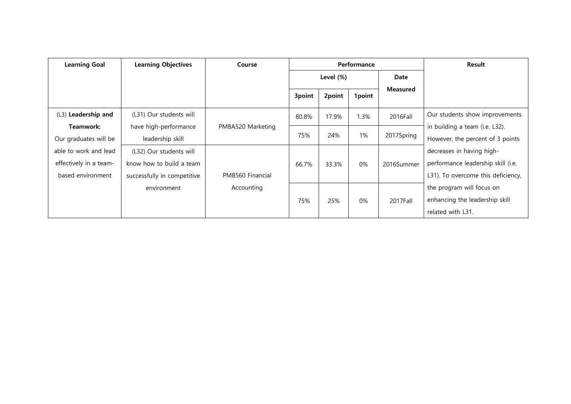| <b>Learning Goal</b>   | <b>Learning Objectives</b>  | Course            |              |        | Performance | Result          |                                    |
|------------------------|-----------------------------|-------------------|--------------|--------|-------------|-----------------|------------------------------------|
|                        |                             |                   | Level $(\%)$ |        |             | Date            |                                    |
|                        |                             |                   | 3point       | 2point | 1point      | <b>Measured</b> |                                    |
| (L3) Leadership and    | (L31) Our students will     |                   | 80.8%        | 17.9%  | 1.3%        | 2016Fall        | Our students show improvements     |
| Teamwork:              | have high-performance       | PMBA520 Marketing |              |        |             |                 | in building a team (i.e. L32).     |
| Our graduates will be  | leadership skill            |                   | 75%          | 24%    | 1%          | 2017Spring      | However, the percent of 3 points   |
| able to work and lead  | (L32) Our students will     |                   |              |        |             |                 | decreases in having high-          |
| effectively in a team- | know how to build a team    |                   | 66.7%        | 33.3%  | 0%          | 2016Summer      | performance leadership skill (i.e. |
| based environment      | successfully in competitive | PMB560 Financial  |              |        |             |                 | L31). To overcome this deficiency, |
|                        | environment                 | Accounting        |              |        |             |                 | the program will focus on          |
|                        |                             |                   | 75%          | 25%    | $0\%$       | 2017Fall        | enhancing the leadership skill     |
|                        |                             |                   |              |        |             |                 | related with L31.                  |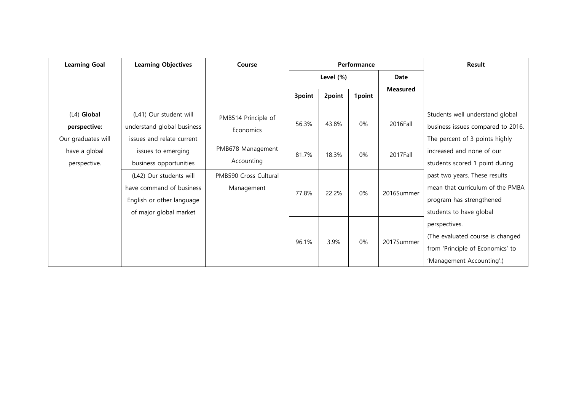| <b>Learning Goal</b>                                | <b>Learning Objectives</b>                                                                                 | Course                              |        |           | Performance | Result          |                                                                                                                          |
|-----------------------------------------------------|------------------------------------------------------------------------------------------------------------|-------------------------------------|--------|-----------|-------------|-----------------|--------------------------------------------------------------------------------------------------------------------------|
|                                                     |                                                                                                            |                                     |        | Level (%) |             | Date            |                                                                                                                          |
|                                                     |                                                                                                            |                                     | 3point | 2point    | 1point      | <b>Measured</b> |                                                                                                                          |
| $(L4)$ Global<br>perspective:<br>Our graduates will | (L41) Our student will<br>understand global business<br>issues and relate current                          | PMB514 Principle of<br>Economics    | 56.3%  | 43.8%     | $0\%$       | 2016Fall        | Students well understand global<br>business issues compared to 2016.<br>The percent of 3 points highly                   |
| have a global<br>perspective.                       | issues to emerging<br>business opportunities                                                               | PMB678 Management<br>Accounting     | 81.7%  | 18.3%     | $0\%$       | 2017Fall        | increased and none of our<br>students scored 1 point during                                                              |
|                                                     | (L42) Our students will<br>have command of business<br>English or other language<br>of major global market | PMB590 Cross Cultural<br>Management | 77.8%  | 22.2%     | 0%          | 2016Summer      | past two years. These results<br>mean that curriculum of the PMBA<br>program has strengthened<br>students to have global |
|                                                     |                                                                                                            |                                     | 96.1%  | 3.9%      | $0\%$       | 2017Summer      | perspectives.<br>(The evaluated course is changed<br>from 'Principle of Economics' to<br>'Management Accounting'.)       |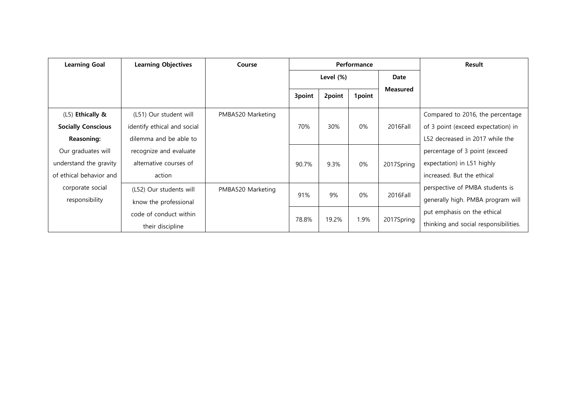| <b>Learning Goal</b>      | <b>Learning Objectives</b>  | Course            |           |        | Performance | <b>Result</b>   |                                       |
|---------------------------|-----------------------------|-------------------|-----------|--------|-------------|-----------------|---------------------------------------|
|                           |                             |                   | Level (%) |        |             | Date            |                                       |
|                           |                             |                   | 3point    | 2point | 1point      | <b>Measured</b> |                                       |
|                           |                             |                   |           |        |             |                 |                                       |
| (L5) Ethically &          | (L51) Our student will      | PMBA520 Marketing |           |        |             |                 | Compared to 2016, the percentage      |
| <b>Socially Conscious</b> | identify ethical and social |                   | 70%       | 30%    | 0%          | 2016Fall        | of 3 point (exceed expectation) in    |
| <b>Reasoning:</b>         | dilemma and be able to      |                   |           |        |             |                 | L52 decreased in 2017 while the       |
| Our graduates will        | recognize and evaluate      |                   |           |        |             |                 | percentage of 3 point (exceed         |
| understand the gravity    | alternative courses of      |                   | 90.7%     | 9.3%   | 0%          | 2017Spring      | expectation) in L51 highly            |
| of ethical behavior and   | action                      |                   |           |        |             |                 | increased. But the ethical            |
| corporate social          | (L52) Our students will     | PMBA520 Marketing |           |        |             |                 | perspective of PMBA students is       |
| responsibility            | know the professional       |                   | 91%       | 9%     | 0%          | 2016Fall        | generally high. PMBA program will     |
|                           | code of conduct within      |                   |           |        |             |                 | put emphasis on the ethical           |
|                           | their discipline            |                   | 78.8%     | 19.2%  | 1.9%        | 2017Spring      | thinking and social responsibilities. |